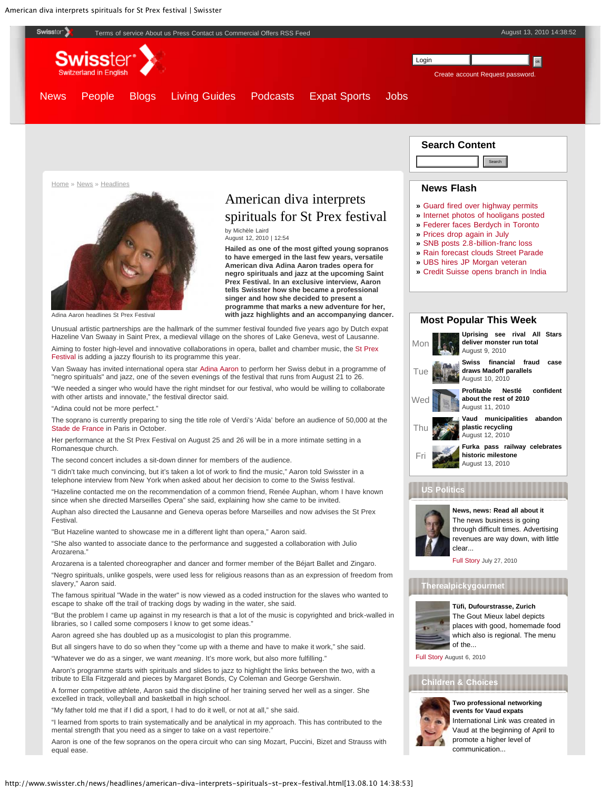<span id="page-0-0"></span>